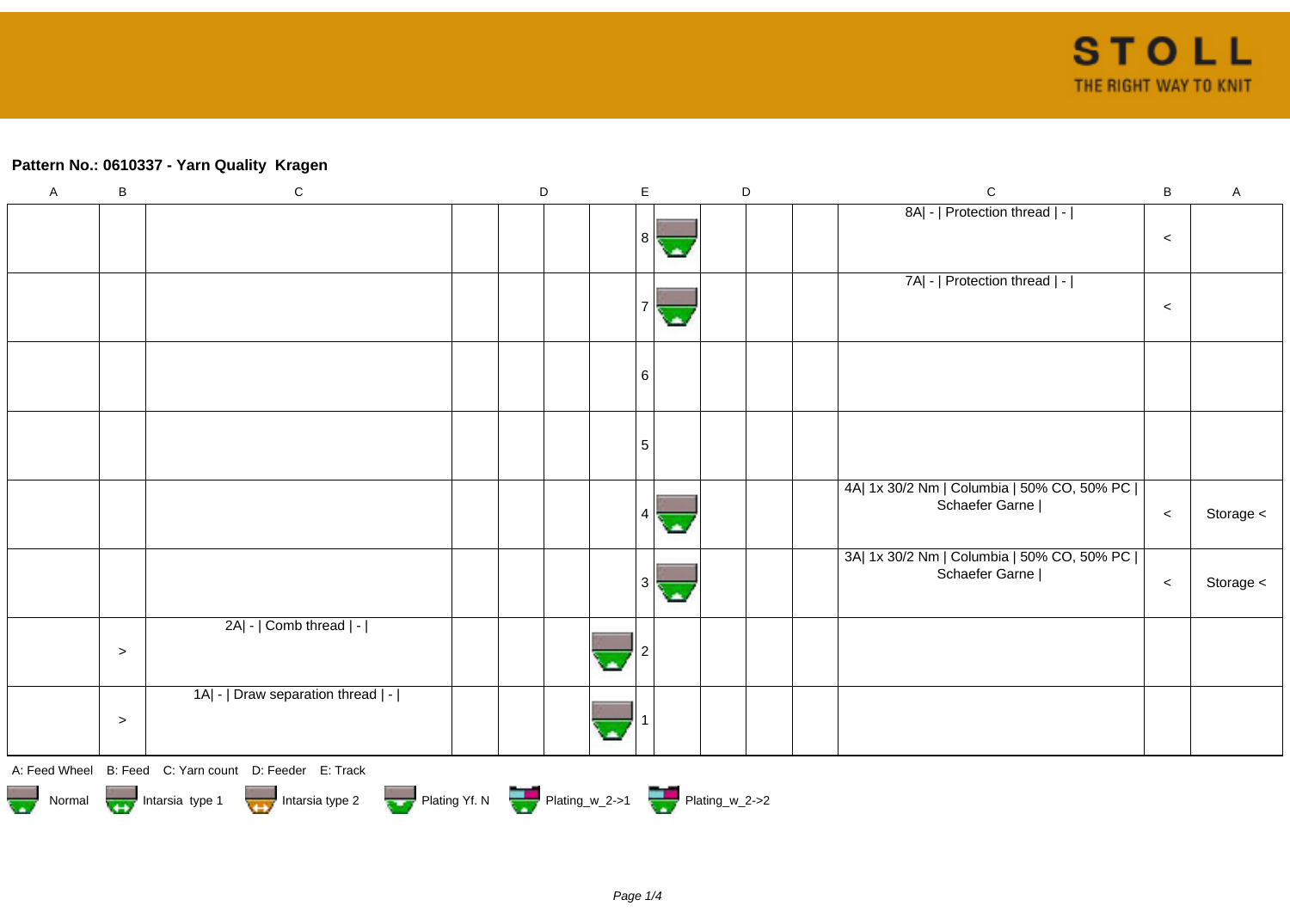## **Pattern No.: 0610337 - Yarn Quality Kragen**

| $\mathsf{A}$ | $\sf B$ | $\mathbf C$                                                                                                                                                                                                                          | D | $\mathsf E$ | $\mathsf D$ | $\mathbf C$                                                    | $\, {\bf B}$ | $\mathsf A$ |
|--------------|---------|--------------------------------------------------------------------------------------------------------------------------------------------------------------------------------------------------------------------------------------|---|-------------|-------------|----------------------------------------------------------------|--------------|-------------|
|              |         |                                                                                                                                                                                                                                      |   | 8           |             | 8A  -   Protection thread   -                                  | $\,<$        |             |
|              |         |                                                                                                                                                                                                                                      |   |             |             | 7A  -   Protection thread   -                                  | $\,<$        |             |
|              |         |                                                                                                                                                                                                                                      |   | 6           |             |                                                                |              |             |
|              |         |                                                                                                                                                                                                                                      |   | 5           |             |                                                                |              |             |
|              |         |                                                                                                                                                                                                                                      |   | 4           |             | 4A  1x 30/2 Nm   Columbia   50% CO, 50% PC  <br>Schaefer Garne | $\,<$        | Storage <   |
|              |         |                                                                                                                                                                                                                                      |   | 3           |             | 3A  1x 30/2 Nm   Columbia   50% CO, 50% PC  <br>Schaefer Garne | $\,<$        | Storage <   |
|              | $\geq$  | 2A  -   Comb thread   -                                                                                                                                                                                                              |   |             |             |                                                                |              |             |
|              | $\,>$   | 1A  -   Draw separation thread   -                                                                                                                                                                                                   |   |             |             |                                                                |              |             |
|              |         | A: Feed Wheel B: Feed C: Yarn count D: Feeder E: Track                                                                                                                                                                               |   |             |             |                                                                |              |             |
|              |         | Normal <b>Department of the State of State of the State of State of the State of the State of the State of the State of the State of the State of the State of the State of the State of the State of the State of the State of </b> |   |             |             |                                                                |              |             |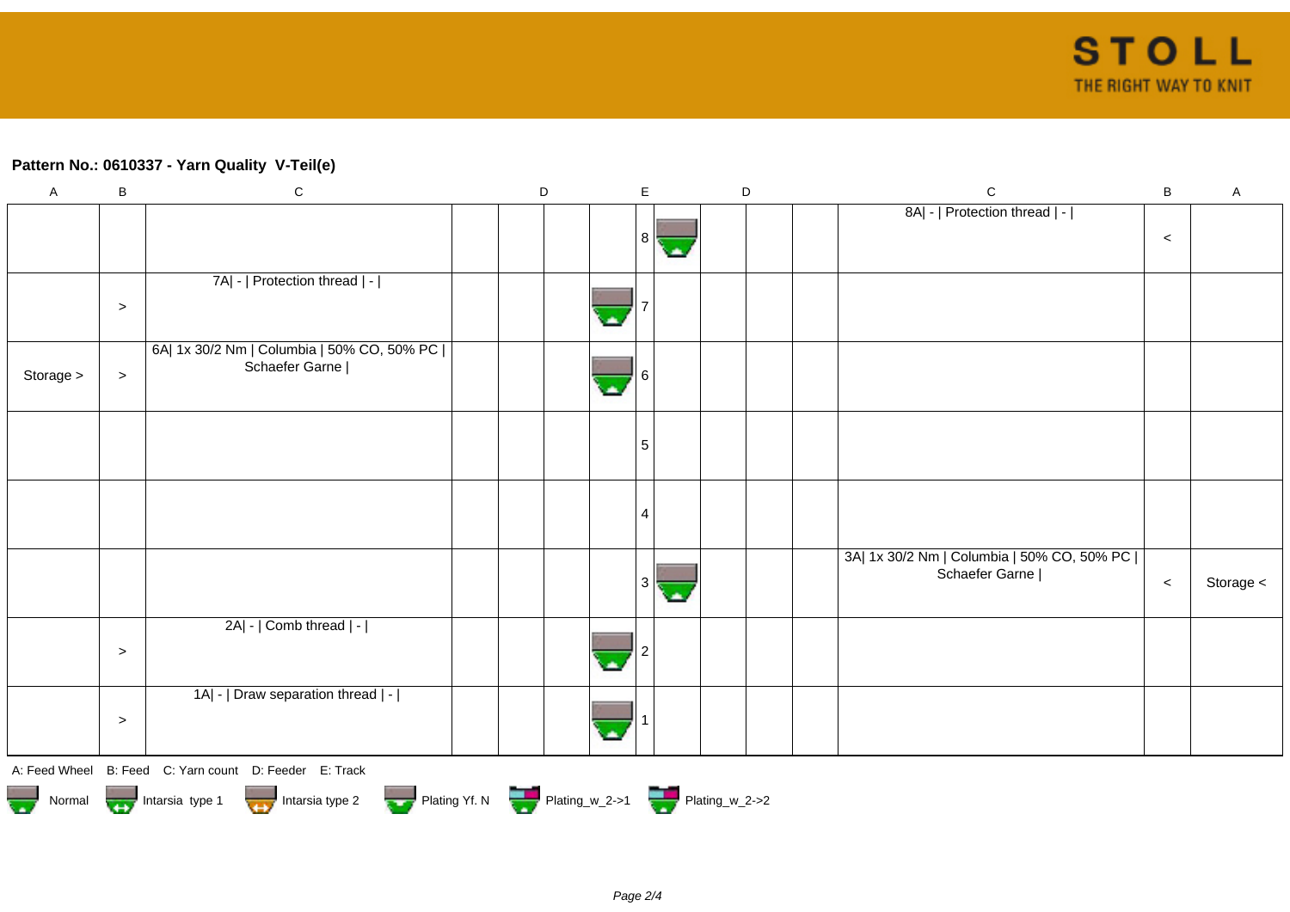## **Pattern No.: 0610337 - Yarn Quality V-Teil(e)**

| $\boldsymbol{\mathsf{A}}$ | B         | ${\bf C}$                                                                                | D |          | $\mathsf E$    |    | $\mathsf D$ | $\mathbf C$                                | $\sf B$ | $\mathsf A$ |
|---------------------------|-----------|------------------------------------------------------------------------------------------|---|----------|----------------|----|-------------|--------------------------------------------|---------|-------------|
|                           |           |                                                                                          |   |          |                |    |             | 8A  -   Protection thread   -              |         |             |
|                           |           |                                                                                          |   |          | 8 <sup>1</sup> | ۱A |             |                                            | $\,<$   |             |
|                           |           |                                                                                          |   |          |                |    |             |                                            |         |             |
|                           |           | 7A  -   Protection thread   -                                                            |   |          |                |    |             |                                            |         |             |
|                           | $\, > \,$ |                                                                                          |   |          |                |    |             |                                            |         |             |
|                           |           |                                                                                          |   |          |                |    |             |                                            |         |             |
|                           |           | 6A  1x 30/2 Nm   Columbia   50% CO, 50% PC  <br>Schaefer Garne                           |   |          |                |    |             |                                            |         |             |
| Storage >                 | $\,>$     |                                                                                          |   | $\Delta$ | 6              |    |             |                                            |         |             |
|                           |           |                                                                                          |   |          |                |    |             |                                            |         |             |
|                           |           |                                                                                          |   |          |                |    |             |                                            |         |             |
|                           |           |                                                                                          |   |          | $\sqrt{5}$     |    |             |                                            |         |             |
|                           |           |                                                                                          |   |          |                |    |             |                                            |         |             |
|                           |           |                                                                                          |   |          |                |    |             |                                            |         |             |
|                           |           |                                                                                          |   |          | 4              |    |             |                                            |         |             |
|                           |           |                                                                                          |   |          |                |    |             | 3A  1x 30/2 Nm   Columbia   50% CO, 50% PC |         |             |
|                           |           |                                                                                          |   |          |                |    |             | Schaefer Garne                             |         |             |
|                           |           |                                                                                          |   |          | 3              | С. |             |                                            | $\,<$   | Storage <   |
|                           |           | 2A  -   Comb thread   -                                                                  |   |          |                |    |             |                                            |         |             |
|                           |           |                                                                                          |   |          |                |    |             |                                            |         |             |
|                           | $\, >$    |                                                                                          |   |          |                |    |             |                                            |         |             |
|                           |           | 1A  -   Draw separation thread   -                                                       |   |          |                |    |             |                                            |         |             |
|                           |           |                                                                                          |   |          |                |    |             |                                            |         |             |
|                           | $\, > \,$ |                                                                                          |   |          |                |    |             |                                            |         |             |
|                           |           |                                                                                          |   |          |                |    |             |                                            |         |             |
|                           |           | A: Feed Wheel B: Feed C: Yarn count D: Feeder E: Track                                   |   |          |                |    |             |                                            |         |             |
|                           |           | Plating Yf. N Plating_w_2->1 Plating_w_2->2<br>Normal Intarsia type 1<br>Intarsia type 2 |   |          |                |    |             |                                            |         |             |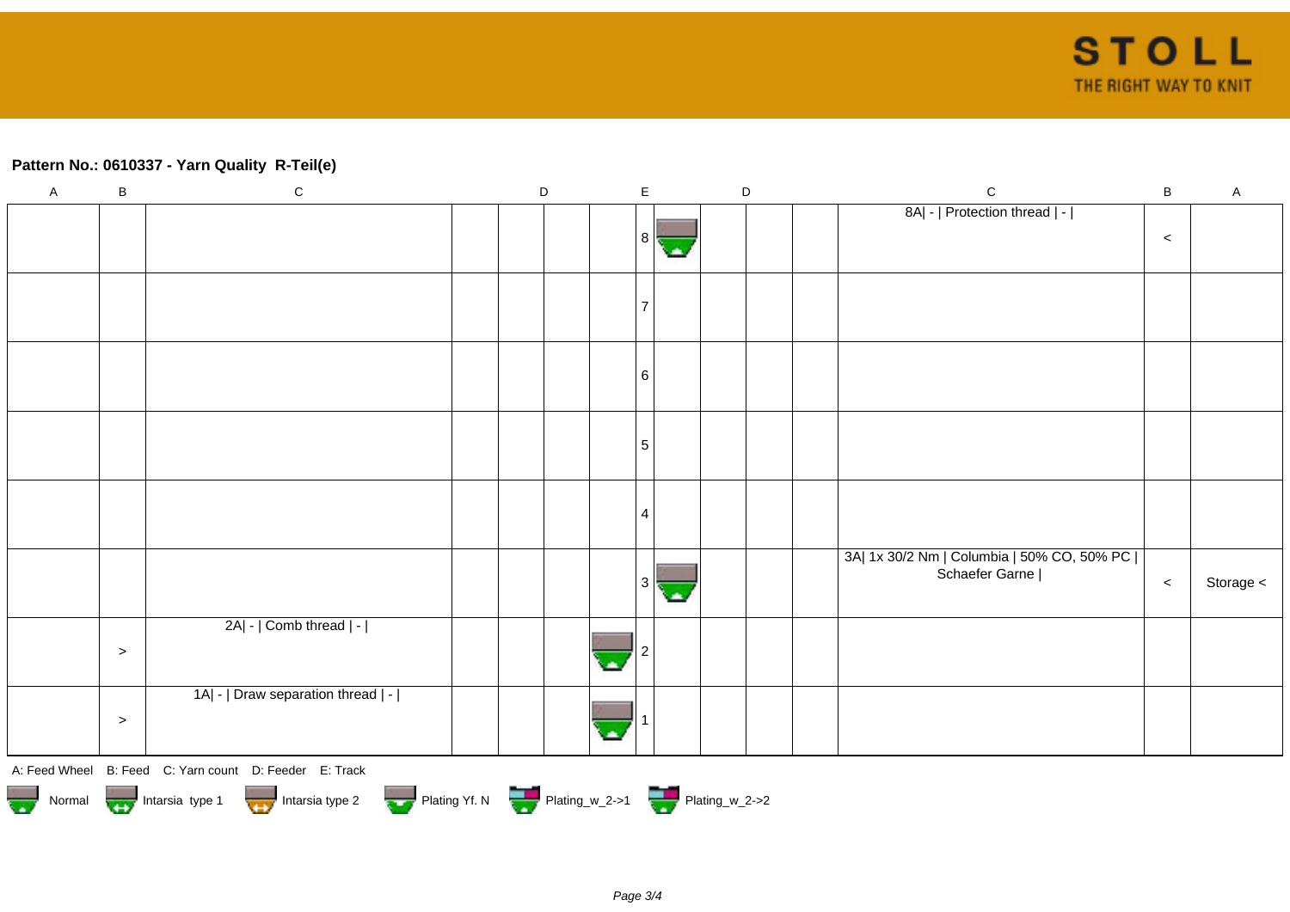## **Pattern No.: 0610337 - Yarn Quality R-Teil(e)**

| $\overline{A}$ | $\sf B$                                                                            | ${\bf C}$                                              |  | $\mathsf D$ |  |  | $\mathsf E$     |  |  | $\mathsf D$ |  | $\mathbf C$                                                    | $\, {\bf B}$ | $\mathsf A$ |
|----------------|------------------------------------------------------------------------------------|--------------------------------------------------------|--|-------------|--|--|-----------------|--|--|-------------|--|----------------------------------------------------------------|--------------|-------------|
|                |                                                                                    |                                                        |  |             |  |  |                 |  |  |             |  | 8A  -   Protection thread   -                                  |              |             |
|                |                                                                                    |                                                        |  |             |  |  | -8 I            |  |  |             |  |                                                                | $\,<$        |             |
|                |                                                                                    |                                                        |  |             |  |  |                 |  |  |             |  |                                                                |              |             |
|                |                                                                                    |                                                        |  |             |  |  | 7               |  |  |             |  |                                                                |              |             |
|                |                                                                                    |                                                        |  |             |  |  |                 |  |  |             |  |                                                                |              |             |
|                |                                                                                    |                                                        |  |             |  |  | 6               |  |  |             |  |                                                                |              |             |
|                |                                                                                    |                                                        |  |             |  |  |                 |  |  |             |  |                                                                |              |             |
|                |                                                                                    |                                                        |  |             |  |  | $5\phantom{.0}$ |  |  |             |  |                                                                |              |             |
|                |                                                                                    |                                                        |  |             |  |  |                 |  |  |             |  |                                                                |              |             |
|                |                                                                                    |                                                        |  |             |  |  | 4               |  |  |             |  |                                                                |              |             |
|                |                                                                                    |                                                        |  |             |  |  |                 |  |  |             |  | 3A  1x 30/2 Nm   Columbia   50% CO, 50% PC  <br>Schaefer Garne |              |             |
|                |                                                                                    |                                                        |  |             |  |  | 3               |  |  |             |  |                                                                | $\,<$        | Storage $<$ |
|                |                                                                                    | 2A  -   Comb thread   -                                |  |             |  |  |                 |  |  |             |  |                                                                |              |             |
|                | $\, >$                                                                             |                                                        |  |             |  |  |                 |  |  |             |  |                                                                |              |             |
|                |                                                                                    | 1A  -   Draw separation thread   -                     |  |             |  |  |                 |  |  |             |  |                                                                |              |             |
|                | $\, >$                                                                             |                                                        |  |             |  |  |                 |  |  |             |  |                                                                |              |             |
|                |                                                                                    | A: Feed Wheel B: Feed C: Yarn count D: Feeder E: Track |  |             |  |  |                 |  |  |             |  |                                                                |              |             |
|                | Normal Intarsia type 1 Intarsia type 2 Plating Yf. N Plating w_2->1 Plating_w_2->2 |                                                        |  |             |  |  |                 |  |  |             |  |                                                                |              |             |